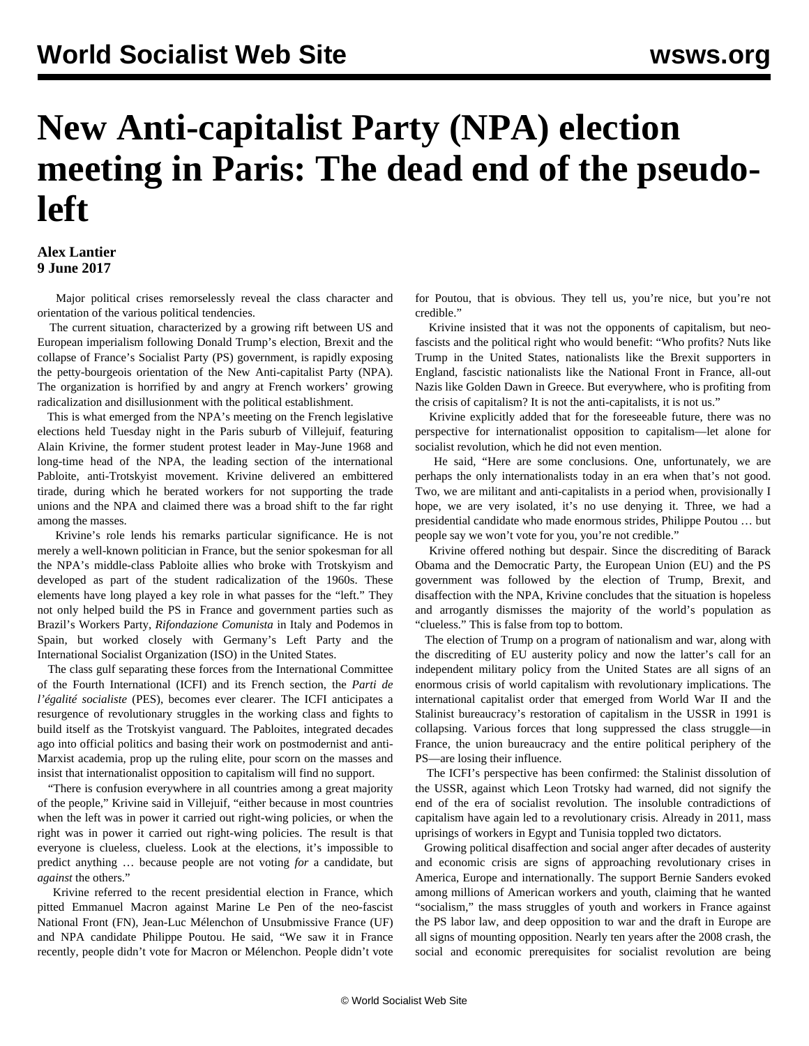## **New Anti-capitalist Party (NPA) election meeting in Paris: The dead end of the pseudoleft**

## **Alex Lantier 9 June 2017**

 Major political crises remorselessly reveal the class character and orientation of the various political tendencies.

 The current situation, characterized by a growing rift between US and European imperialism following Donald Trump's election, Brexit and the collapse of France's Socialist Party (PS) government, is rapidly exposing the petty-bourgeois orientation of the New Anti-capitalist Party (NPA). The organization is horrified by and angry at French workers' growing radicalization and disillusionment with the political establishment.

 This is what emerged from the NPA's meeting on the French legislative elections held Tuesday night in the Paris suburb of Villejuif, featuring Alain Krivine, the former student protest leader in May-June 1968 and long-time head of the NPA, the leading section of the international Pabloite, anti-Trotskyist movement. Krivine delivered an embittered tirade, during which he berated workers for not supporting the trade unions and the NPA and claimed there was a broad shift to the far right among the masses.

 Krivine's role lends his remarks particular significance. He is not merely a well-known politician in France, but the senior spokesman for all the NPA's middle-class Pabloite allies who broke with Trotskyism and developed as part of the student radicalization of the 1960s. These elements have long played a key role in what passes for the "left." They not only helped build the PS in France and government parties such as Brazil's Workers Party, *Rifondazione Comunista* in Italy and Podemos in Spain, but worked closely with Germany's Left Party and the International Socialist Organization (ISO) in the United States.

 The class gulf separating these forces from the International Committee of the Fourth International (ICFI) and its French section, the *Parti de l'égalité socialiste* (PES), becomes ever clearer. The ICFI anticipates a resurgence of revolutionary struggles in the working class and fights to build itself as the Trotskyist vanguard. The Pabloites, integrated decades ago into official politics and basing their work on postmodernist and anti-Marxist academia, prop up the ruling elite, pour scorn on the masses and insist that internationalist opposition to capitalism will find no support.

 "There is confusion everywhere in all countries among a great majority of the people," Krivine said in Villejuif, "either because in most countries when the left was in power it carried out right-wing policies, or when the right was in power it carried out right-wing policies. The result is that everyone is clueless, clueless. Look at the elections, it's impossible to predict anything … because people are not voting *for* a candidate, but *against* the others."

 Krivine referred to the recent presidential election in France, which pitted Emmanuel Macron against Marine Le Pen of the neo-fascist National Front (FN), Jean-Luc Mélenchon of Unsubmissive France (UF) and NPA candidate Philippe Poutou. He said, "We saw it in France recently, people didn't vote for Macron or Mélenchon. People didn't vote for Poutou, that is obvious. They tell us, you're nice, but you're not credible."

 Krivine insisted that it was not the opponents of capitalism, but neofascists and the political right who would benefit: "Who profits? Nuts like Trump in the United States, nationalists like the Brexit supporters in England, fascistic nationalists like the National Front in France, all-out Nazis like Golden Dawn in Greece. But everywhere, who is profiting from the crisis of capitalism? It is not the anti-capitalists, it is not us."

 Krivine explicitly added that for the foreseeable future, there was no perspective for internationalist opposition to capitalism—let alone for socialist revolution, which he did not even mention.

 He said, "Here are some conclusions. One, unfortunately, we are perhaps the only internationalists today in an era when that's not good. Two, we are militant and anti-capitalists in a period when, provisionally I hope, we are very isolated, it's no use denying it. Three, we had a presidential candidate who made enormous strides, Philippe Poutou … but people say we won't vote for you, you're not credible."

 Krivine offered nothing but despair. Since the discrediting of Barack Obama and the Democratic Party, the European Union (EU) and the PS government was followed by the election of Trump, Brexit, and disaffection with the NPA, Krivine concludes that the situation is hopeless and arrogantly dismisses the majority of the world's population as "clueless." This is false from top to bottom.

 The election of Trump on a program of nationalism and war, along with the discrediting of EU austerity policy and now the latter's call for an independent military policy from the United States are all signs of an enormous crisis of world capitalism with revolutionary implications. The international capitalist order that emerged from World War II and the Stalinist bureaucracy's restoration of capitalism in the USSR in 1991 is collapsing. Various forces that long suppressed the class struggle—in France, the union bureaucracy and the entire political periphery of the PS—are losing their influence.

 The ICFI's perspective has been confirmed: the Stalinist dissolution of the USSR, against which Leon Trotsky had warned, did not signify the end of the era of socialist revolution. The insoluble contradictions of capitalism have again led to a revolutionary crisis. Already in 2011, mass uprisings of workers in Egypt and Tunisia toppled two dictators.

 Growing political disaffection and social anger after decades of austerity and economic crisis are signs of approaching revolutionary crises in America, Europe and internationally. The support Bernie Sanders evoked among millions of American workers and youth, claiming that he wanted "socialism," the mass struggles of youth and workers in France against the PS labor law, and deep opposition to war and the draft in Europe are all signs of mounting opposition. Nearly ten years after the 2008 crash, the social and economic prerequisites for socialist revolution are being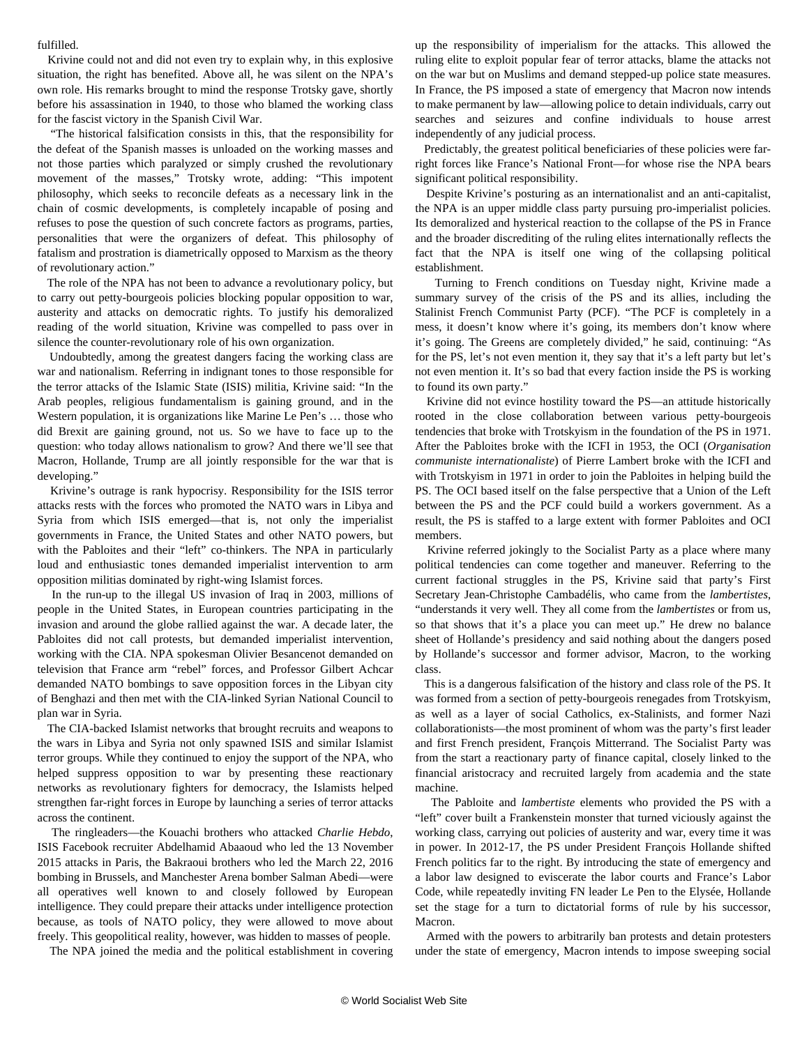## fulfilled.

 Krivine could not and did not even try to explain why, in this explosive situation, the right has benefited. Above all, he was silent on the NPA's own role. His remarks brought to mind the response Trotsky gave, shortly before his assassination in 1940, to those who blamed the working class for the fascist victory in the Spanish Civil War.

 "The historical falsification consists in this, that the responsibility for the defeat of the Spanish masses is unloaded on the working masses and not those parties which paralyzed or simply crushed the revolutionary movement of the masses," Trotsky wrote, adding: "This impotent philosophy, which seeks to reconcile defeats as a necessary link in the chain of cosmic developments, is completely incapable of posing and refuses to pose the question of such concrete factors as programs, parties, personalities that were the organizers of defeat. This philosophy of fatalism and prostration is diametrically opposed to Marxism as the theory of revolutionary action."

 The role of the NPA has not been to advance a revolutionary policy, but to carry out petty-bourgeois policies blocking popular opposition to war, austerity and attacks on democratic rights. To justify his demoralized reading of the world situation, Krivine was compelled to pass over in silence the counter-revolutionary role of his own organization.

 Undoubtedly, among the greatest dangers facing the working class are war and nationalism. Referring in indignant tones to those responsible for the terror attacks of the Islamic State (ISIS) militia, Krivine said: "In the Arab peoples, religious fundamentalism is gaining ground, and in the Western population, it is organizations like Marine Le Pen's … those who did Brexit are gaining ground, not us. So we have to face up to the question: who today allows nationalism to grow? And there we'll see that Macron, Hollande, Trump are all jointly responsible for the war that is developing."

 Krivine's outrage is rank hypocrisy. Responsibility for the ISIS terror attacks rests with the forces who promoted the NATO wars in Libya and Syria from which ISIS emerged—that is, not only the imperialist governments in France, the United States and other NATO powers, but with the Pabloites and their "left" co-thinkers. The NPA in particularly loud and enthusiastic tones demanded imperialist intervention to arm opposition militias dominated by right-wing Islamist forces.

 In the run-up to the illegal US invasion of Iraq in 2003, millions of people in the United States, in European countries participating in the invasion and around the globe rallied against the war. A decade later, the Pabloites did not call protests, but demanded imperialist intervention, working with the CIA. NPA spokesman Olivier Besancenot demanded on television that France arm "rebel" forces, and Professor Gilbert Achcar demanded NATO bombings to save opposition forces in the Libyan city of Benghazi and then met with the CIA-linked Syrian National Council to plan war in Syria.

 The CIA-backed Islamist networks that brought recruits and weapons to the wars in Libya and Syria not only spawned ISIS and similar Islamist terror groups. While they continued to enjoy the support of the NPA, who helped suppress opposition to war by presenting these reactionary networks as revolutionary fighters for democracy, the Islamists helped strengthen far-right forces in Europe by launching a series of terror attacks across the continent.

 The ringleaders—the Kouachi brothers who attacked *Charlie Hebdo*, ISIS Facebook recruiter Abdelhamid Abaaoud who led the 13 November 2015 attacks in Paris, the Bakraoui brothers who led the March 22, 2016 bombing in Brussels, and Manchester Arena bomber Salman Abedi—were all operatives well known to and closely followed by European intelligence. They could prepare their attacks under intelligence protection because, as tools of NATO policy, they were allowed to move about freely. This geopolitical reality, however, was hidden to masses of people.

The NPA joined the media and the political establishment in covering

up the responsibility of imperialism for the attacks. This allowed the ruling elite to exploit popular fear of terror attacks, blame the attacks not on the war but on Muslims and demand stepped-up police state measures. In France, the PS imposed a state of emergency that Macron now intends to make permanent by law—allowing police to detain individuals, carry out searches and seizures and confine individuals to house arrest independently of any judicial process.

 Predictably, the greatest political beneficiaries of these policies were farright forces like France's National Front—for whose rise the NPA bears significant political responsibility.

 Despite Krivine's posturing as an internationalist and an anti-capitalist, the NPA is an upper middle class party pursuing pro-imperialist policies. Its demoralized and hysterical reaction to the collapse of the PS in France and the broader discrediting of the ruling elites internationally reflects the fact that the NPA is itself one wing of the collapsing political establishment.

 Turning to French conditions on Tuesday night, Krivine made a summary survey of the crisis of the PS and its allies, including the Stalinist French Communist Party (PCF). "The PCF is completely in a mess, it doesn't know where it's going, its members don't know where it's going. The Greens are completely divided," he said, continuing: "As for the PS, let's not even mention it, they say that it's a left party but let's not even mention it. It's so bad that every faction inside the PS is working to found its own party."

 Krivine did not evince hostility toward the PS—an attitude historically rooted in the close collaboration between various petty-bourgeois tendencies that broke with Trotskyism in the foundation of the PS in 1971. After the Pabloites broke with the ICFI in 1953, the OCI (*Organisation communiste internationaliste*) of Pierre Lambert broke with the ICFI and with Trotskyism in 1971 in order to join the Pabloites in helping build the PS. The OCI based itself on the false perspective that a Union of the Left between the PS and the PCF could build a workers government. As a result, the PS is staffed to a large extent with former Pabloites and OCI members.

 Krivine referred jokingly to the Socialist Party as a place where many political tendencies can come together and maneuver. Referring to the current factional struggles in the PS, Krivine said that party's First Secretary Jean-Christophe Cambadélis, who came from the *lambertistes*, "understands it very well. They all come from the *lambertistes* or from us, so that shows that it's a place you can meet up." He drew no balance sheet of Hollande's presidency and said nothing about the dangers posed by Hollande's successor and former advisor, Macron, to the working class.

 This is a dangerous falsification of the history and class role of the PS. It was formed from a section of petty-bourgeois renegades from Trotskyism, as well as a layer of social Catholics, ex-Stalinists, and former Nazi collaborationists—the most prominent of whom was the party's first leader and first French president, François Mitterrand. The Socialist Party was from the start a reactionary party of finance capital, closely linked to the financial aristocracy and recruited largely from academia and the state machine.

 The Pabloite and *lambertiste* elements who provided the PS with a "left" cover built a Frankenstein monster that turned viciously against the working class, carrying out policies of austerity and war, every time it was in power. In 2012-17, the PS under President François Hollande shifted French politics far to the right. By introducing the state of emergency and a labor law designed to eviscerate the labor courts and France's Labor Code, while repeatedly inviting FN leader Le Pen to the Elysée, Hollande set the stage for a turn to dictatorial forms of rule by his successor, Macron.

 Armed with the powers to arbitrarily ban protests and detain protesters under the state of emergency, Macron intends to impose sweeping social